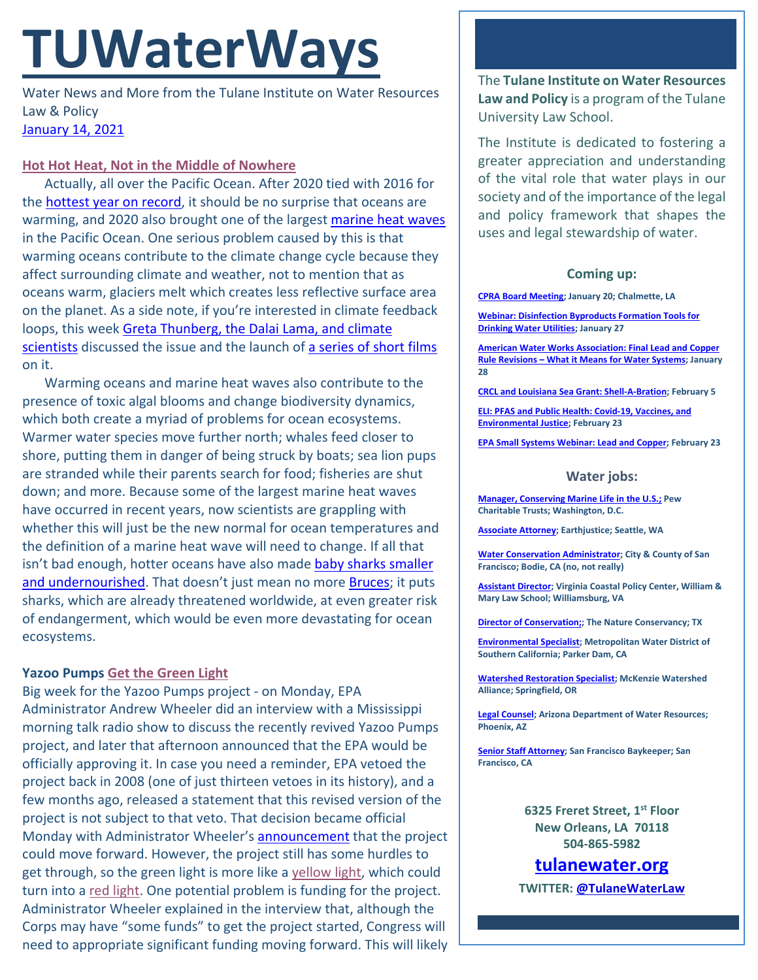# **TUWaterWays**

Water News and More from the Tulane Institute on Water Resources Law & Policy [January 14, 2021](https://thisdayinwaterhistory.wordpress.com/)

#### **[Hot Hot Heat, Not in the Middle of Nowhere](https://www.youtube.com/watch?v=7Nk2iNjLYuk)**

Actually, all over the Pacific Ocean. After 2020 tied with 2016 for the [hottest year on record,](https://www.nytimes.com/2021/01/08/climate/hottest-year-ever.html) it should be no surprise that oceans are warming, and 2020 also brought one of the largest [marine heat waves](https://www.opb.org/article/2020/12/23/marine-heat-waves-pacific-ocean-climate-change/) in the Pacific Ocean. One serious problem caused by this is that warming oceans contribute to the climate change cycle because they affect surrounding climate and weather, not to mention that as oceans warm, glaciers melt which creates less reflective surface area on the planet. As a side note, if you're interested in climate feedback loops, this week [Greta Thunberg, the Dalai Lama, and climate](https://www.woodwellclimate.org/stories/video/#true-2)  [scientists](https://www.woodwellclimate.org/stories/video/#true-2) discussed the issue and the launch of [a series of short films](https://feedbackloopsclimate.com/) on it.

Warming oceans and marine heat waves also contribute to the presence of toxic algal blooms and change biodiversity dynamics, which both create a myriad of problems for ocean ecosystems. Warmer water species move further north; whales feed closer to shore, putting them in danger of being struck by boats; sea lion pups are stranded while their parents search for food; fisheries are shut down; and more. Because some of the largest marine heat waves have occurred in recent years, now scientists are grappling with whether this will just be the new normal for ocean temperatures and the definition of a marine heat wave will need to change. If all that isn't bad enough, hotter oceans have also made baby sharks smaller [and undernourished.](https://www.cnn.com/2021/01/12/australia/baby-shark-climate-intl-scli-scn/index.html) That doesn't just mean no more [Bruces;](https://consequenceofsound.net/wp-content/uploads/2015/06/spielberg-jaws-e1434686107808.jpg?quality=80&w=807) it puts sharks, which are already threatened worldwide, at even greater risk of endangerment, which would be even more devastating for ocean ecosystems.

## **Yazoo Pumps [Get the Green Light](https://youtu.be/bOXvqkC3W4M?t=31)**

Big week for the Yazoo Pumps project - on Monday, EPA Administrator Andrew Wheeler did an interview with a Mississippi morning talk radio show to discuss the recently revived Yazoo Pumps project, and later that afternoon announced that the EPA would be officially approving it. In case you need a reminder, EPA vetoed the project back in 2008 (one of just thirteen vetoes in its history), and a few months ago, released a statement that this revised version of the project is not subject to that veto. That decision became official Monday with Administrator Wheeler's **announcement** that the project could move forward. However, the project still has some hurdles to get through, so the green light is more like a [yellow light,](https://www.youtube.com/watch?v=Ng_Lmb0-aTk) which could turn into a [red light.](https://www.youtube.com/watch?v=dW66keO8Iew) One potential problem is funding for the project. Administrator Wheeler explained in the interview that, although the Corps may have "some funds" to get the project started, Congress will need to appropriate significant funding moving forward. This will likely

The **Tulane Institute on Water Resources Law and Policy** is a program of the Tulane University Law School.

The Institute is dedicated to fostering a greater appreciation and understanding of the vital role that water plays in our society and of the importance of the legal and policy framework that shapes the uses and legal stewardship of water.

## **Coming up:**

**[CPRA Board Meeting;](https://coastal.la.gov/calendar/) January 20; Chalmette, LA**

**[Webinar: Disinfection Byproducts Formation Tools for](https://www.epa.gov/water-research/water-research-webinar-series)  [Drinking Water Utilities;](https://www.epa.gov/water-research/water-research-webinar-series) January 27**

**[American Water Works Association: Final Lead and Copper](https://www.awwa.org/Events-Education/Events-Calendar/mid/11357/OccuranceId/512?ctl=ViewEvent)  Rule Revisions – [What it Means for Water Systems;](https://www.awwa.org/Events-Education/Events-Calendar/mid/11357/OccuranceId/512?ctl=ViewEvent) January 28**

**[CRCL and Louisiana Sea Grant: Shell-A-Bration;](https://www.laseagrant.org/event/crcl-shell-a-bration/?instance_id=1070) February 5**

**[ELI: PFAS and Public Health: Covid-19, Vaccines, and](https://www.eli.org/events/pfas-public-health-covid-19-vaccines-and-environmental-justice)  [Environmental Justice;](https://www.eli.org/events/pfas-public-health-covid-19-vaccines-and-environmental-justice) February 23**

**[EPA Small Systems Webinar: Lead and Copper;](https://www.epa.gov/water-research/small-systems-monthly-webinar-series) February 23**

#### **Water jobs:**

**[Manager, Conserving Marine Life in the U.S.;](https://jobs-pct.icims.com/jobs/6392/job?mobile=false&width=990&height=500&bga=true&needsRedirect=false&jan1offset=-360&jun1offset=-300) Pew Charitable Trusts; Washington, D.C.**

**[Associate Attorney;](https://jobs.jobvite.com/earthjustice/job/o2Modfw9?nl=1) Earthjustice; Seattle, WA**

**[Water Conservation Administrator;](https://www.jobapscloud.com/SF/sup/bulpreview.asp?R1=PEX&R2=1839&R3=108376) City & County of San Francisco; Bodie, CA (no, not really)**

**[Assistant Director;](https://jobs.wm.edu/postings/40167) Virginia Coastal Policy Center, William & Mary Law School; Williamsburg, VA**

**[Director of Conservation;;](https://careers.nature.org/psc/tnccareers/APPLICANT/APPL/c/HRS_HRAM_FL.HRS_CG_SEARCH_FL.GBL?Page=HRS_APP_JBPST_FL&Action=U&FOCUS=Applicant&SiteId=1&JobOpeningId=49155&PostingSeq=1&PortalActualURL=https%3a%2f%2fcareers.nature.org%2fpsc%2ftnccareers%2fAPPLICANT%2fAPPL%2fc%2fHRS_HRAM_FL.HRS_CG_SEARCH_FL.GBL%3fPage%3dHRS_APP_JBPST_FL%26Action%3dU%26FOCUS%3dApplicant%26SiteId%3d1%26JobOpeningId%3d49155%26PostingSeq%3d1&PortalRegistryName=APPLICANT&PortalServletURI=https%3a%2f%2fcareers.nature.org%2fpsp%2ftnccareers%2f&PortalURI=https%3a%2f%2fcareers.nature.org%2fpsc%2ftnccareers%2f&PortalHostNode=APPL&NoCrumbs=yes&PortalKeyStruct=yes) The Nature Conservancy; TX**

**[Environmental Specialist;](https://bcwaterjobs.secure.force.com/ViewJob?id=a0C0e00000ORx1hEAD) Metropolitan Water District of Southern California; Parker Dam, CA**

**Watershed [Restoration Specialist;](https://www.mckenziewc.org/wp-content/uploads/2021/01/Job-Description-Restoration-Specialist_Final-Draft.edited.pdf) McKenzie Watershed Alliance; Springfield, OR**

**[Legal Counsel;](https://www.azstatejobs.gov/jobs/legal-counsel-phoenix-arizona-united-states) Arizona Department of Water Resources; Phoenix, AZ**

**[Senior Staff Attorney;](https://baykeeper.org/about-baykeeper/jobs-and-internships#seniorattorney) San Francisco Baykeeper; San Francisco, CA**

> **6325 Freret Street, 1st Floor New Orleans, LA 70118 504-865-5982**

**tulanewater.org**

**TWITTER[: @TulaneWaterLaw](http://www.twitter.com/TulaneWaterLaw)**